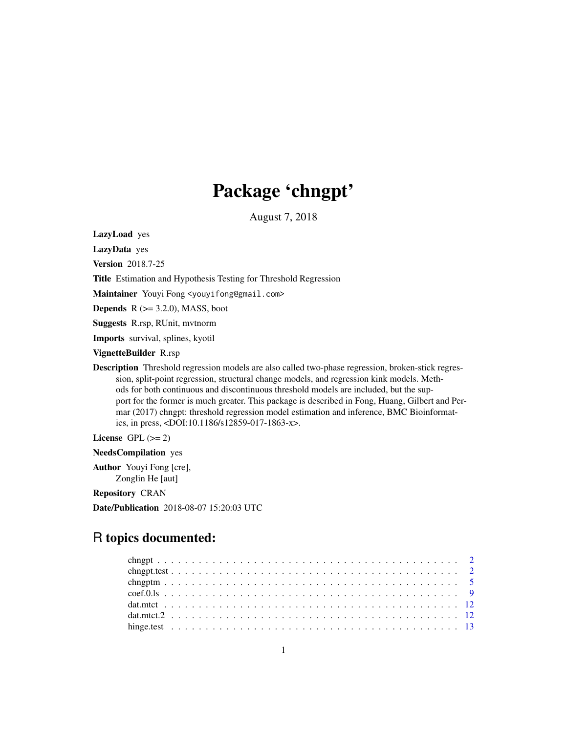# Package 'chngpt'

August 7, 2018

LazyLoad yes

LazyData yes

Version 2018.7-25

Title Estimation and Hypothesis Testing for Threshold Regression

Maintainer Youyi Fong <youyifong@gmail.com>

**Depends**  $R$  ( $>= 3.2.0$ ), MASS, boot

Suggests R.rsp, RUnit, mvtnorm

Imports survival, splines, kyotil

VignetteBuilder R.rsp

Description Threshold regression models are also called two-phase regression, broken-stick regression, split-point regression, structural change models, and regression kink models. Methods for both continuous and discontinuous threshold models are included, but the support for the former is much greater. This package is described in Fong, Huang, Gilbert and Permar (2017) chngpt: threshold regression model estimation and inference, BMC Bioinformatics, in press, <DOI:10.1186/s12859-017-1863-x>.

License GPL  $(>= 2)$ 

NeedsCompilation yes

Author Youyi Fong [cre], Zonglin He [aut]

Repository CRAN

Date/Publication 2018-08-07 15:20:03 UTC

# R topics documented: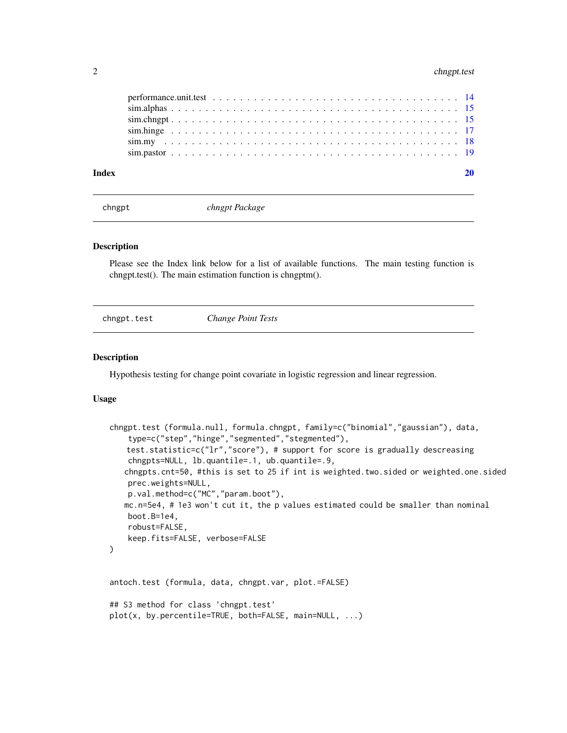<span id="page-1-0"></span>

| Index |  |
|-------|--|
|       |  |
|       |  |
|       |  |
|       |  |
|       |  |
|       |  |

chngpt *chngpt Package*

#### Description

Please see the Index link below for a list of available functions. The main testing function is chngpt.test(). The main estimation function is chngptm().

chngpt.test *Change Point Tests*

# Description

Hypothesis testing for change point covariate in logistic regression and linear regression.

#### Usage

```
chngpt.test (formula.null, formula.chngpt, family=c("binomial","gaussian"), data,
    type=c("step","hinge","segmented","stegmented"),
   test.statistic=c("lr","score"), # support for score is gradually descreasing
    chngpts=NULL, lb.quantile=.1, ub.quantile=.9,
   chngpts.cnt=50, #this is set to 25 if int is weighted.two.sided or weighted.one.sided
   prec.weights=NULL,
    p.val.method=c("MC","param.boot"),
   mc.n=5e4, # 1e3 won't cut it, the p values estimated could be smaller than nominal
   boot.B=1e4,
    robust=FALSE,
    keep.fits=FALSE, verbose=FALSE
)
antoch.test (formula, data, chngpt.var, plot.=FALSE)
## S3 method for class 'chngpt.test'
plot(x, by.percentile=TRUE, both=FALSE, main=NULL, ...)
```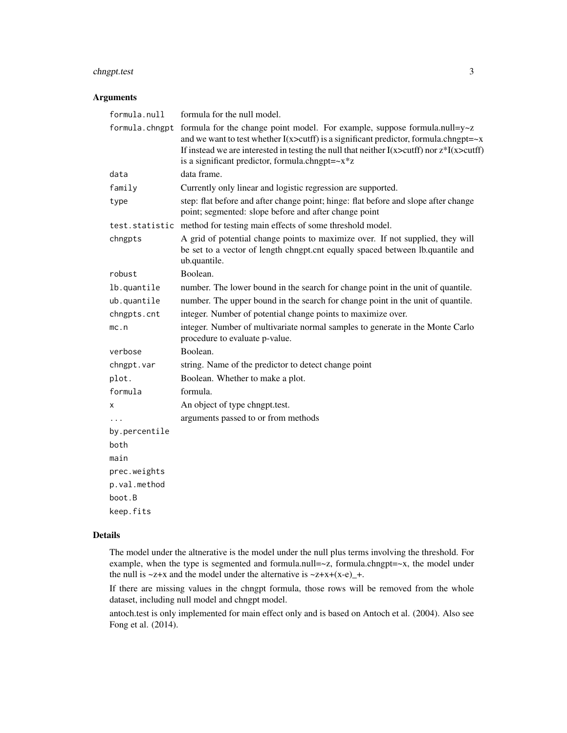# chngpt.test 3

## Arguments

| formula.null   | formula for the null model.                                                                                                                                                                                                                                                                                                                        |
|----------------|----------------------------------------------------------------------------------------------------------------------------------------------------------------------------------------------------------------------------------------------------------------------------------------------------------------------------------------------------|
| formula.chngpt | formula for the change point model. For example, suppose formula.null=y~z<br>and we want to test whether $I(x > cutff)$ is a significant predictor, formula.chngpt= $-x$<br>If instead we are interested in testing the null that neither $I(x > cutff)$ nor $z * I(x > cutff)$<br>is a significant predictor, formula.chngpt= $-x$ <sup>*</sup> z |
| data           | data frame.                                                                                                                                                                                                                                                                                                                                        |
| family         | Currently only linear and logistic regression are supported.                                                                                                                                                                                                                                                                                       |
| type           | step: flat before and after change point; hinge: flat before and slope after change<br>point; segmented: slope before and after change point                                                                                                                                                                                                       |
|                | test.statistic method for testing main effects of some threshold model.                                                                                                                                                                                                                                                                            |
| chngpts        | A grid of potential change points to maximize over. If not supplied, they will<br>be set to a vector of length chngpt.cnt equally spaced between lb.quantile and<br>ub.quantile.                                                                                                                                                                   |
| robust         | Boolean.                                                                                                                                                                                                                                                                                                                                           |
| lb.quantile    | number. The lower bound in the search for change point in the unit of quantile.                                                                                                                                                                                                                                                                    |
| ub.quantile    | number. The upper bound in the search for change point in the unit of quantile.                                                                                                                                                                                                                                                                    |
| chngpts.cnt    | integer. Number of potential change points to maximize over.                                                                                                                                                                                                                                                                                       |
| mc.n           | integer. Number of multivariate normal samples to generate in the Monte Carlo<br>procedure to evaluate p-value.                                                                                                                                                                                                                                    |
| verbose        | Boolean.                                                                                                                                                                                                                                                                                                                                           |
| chngpt.var     | string. Name of the predictor to detect change point                                                                                                                                                                                                                                                                                               |
| plot.          | Boolean. Whether to make a plot.                                                                                                                                                                                                                                                                                                                   |
| formula        | formula.                                                                                                                                                                                                                                                                                                                                           |
| x              | An object of type chngpt.test.                                                                                                                                                                                                                                                                                                                     |
|                | arguments passed to or from methods                                                                                                                                                                                                                                                                                                                |
| by.percentile  |                                                                                                                                                                                                                                                                                                                                                    |
| both           |                                                                                                                                                                                                                                                                                                                                                    |
| main           |                                                                                                                                                                                                                                                                                                                                                    |
| prec.weights   |                                                                                                                                                                                                                                                                                                                                                    |
| p.val.method   |                                                                                                                                                                                                                                                                                                                                                    |
| boot.B         |                                                                                                                                                                                                                                                                                                                                                    |
| keep.fits      |                                                                                                                                                                                                                                                                                                                                                    |

# Details

The model under the altnerative is the model under the null plus terms involving the threshold. For example, when the type is segmented and formula.null=~z, formula.chngpt=~x, the model under the null is  $\sim$ z+x and the model under the alternative is  $\sim$ z+x+(x-e)\_+.

If there are missing values in the chngpt formula, those rows will be removed from the whole dataset, including null model and chngpt model.

antoch.test is only implemented for main effect only and is based on Antoch et al. (2004). Also see Fong et al. (2014).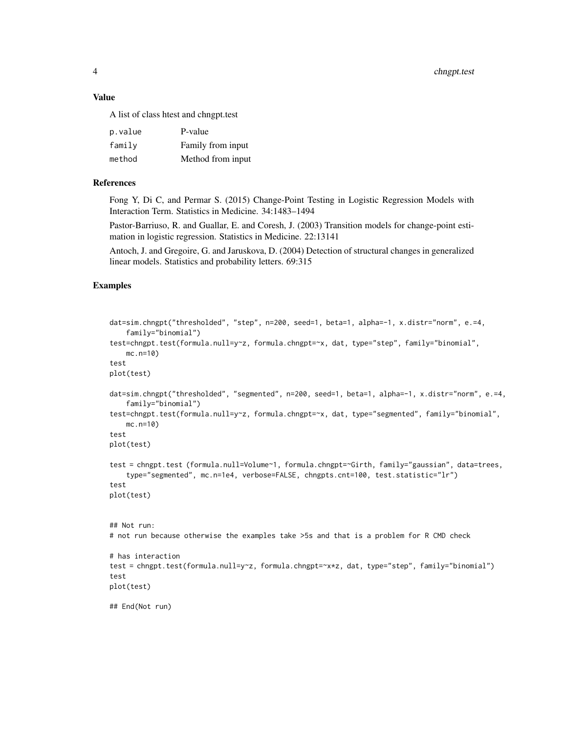4 chngpt.test

#### Value

A list of class htest and chngpt.test

| p.value | P-value           |
|---------|-------------------|
| family  | Family from input |
| method  | Method from input |

#### References

Fong Y, Di C, and Permar S. (2015) Change-Point Testing in Logistic Regression Models with Interaction Term. Statistics in Medicine. 34:1483–1494

Pastor-Barriuso, R. and Guallar, E. and Coresh, J. (2003) Transition models for change-point estimation in logistic regression. Statistics in Medicine. 22:13141

Antoch, J. and Gregoire, G. and Jaruskova, D. (2004) Detection of structural changes in generalized linear models. Statistics and probability letters. 69:315

#### Examples

```
dat=sim.chngpt("thresholded", "step", n=200, seed=1, beta=1, alpha=-1, x.distr="norm", e.=4,
    family="binomial")
test=chngpt.test(formula.null=y~z, formula.chngpt=~x, dat, type="step", family="binomial",
   mc.n=10)
test
plot(test)
dat=sim.chngpt("thresholded", "segmented", n=200, seed=1, beta=1, alpha=-1, x.distr="norm", e.=4,
    family="binomial")
test=chngpt.test(formula.null=y~z, formula.chngpt=~x, dat, type="segmented", family="binomial",
    mc.n=10)
test
plot(test)
test = chngpt.test (formula.null=Volume~1, formula.chngpt=~Girth, family="gaussian", data=trees,
    type="segmented", mc.n=1e4, verbose=FALSE, chngpts.cnt=100, test.statistic="lr")
test
plot(test)
## Not run:
# not run because otherwise the examples take >5s and that is a problem for R CMD check
# has interaction
test = chngpt.test(formula.null=y~z, formula.chngpt=~x*z, dat, type="step", family="binomial")
test
plot(test)
## End(Not run)
```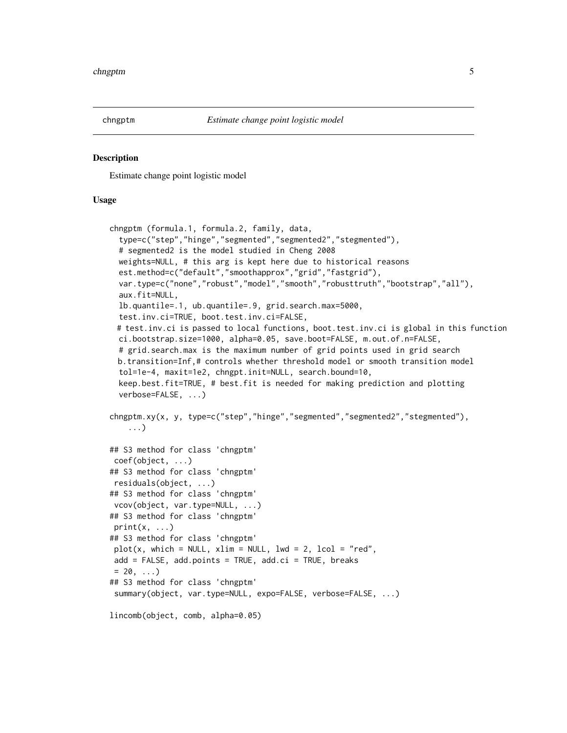<span id="page-4-0"></span>

#### Description

Estimate change point logistic model

#### Usage

```
chngptm (formula.1, formula.2, family, data,
 type=c("step","hinge","segmented","segmented2","stegmented"),
 # segmented2 is the model studied in Cheng 2008
 weights=NULL, # this arg is kept here due to historical reasons
 est.method=c("default","smoothapprox","grid","fastgrid"),
 var.type=c("none","robust","model","smooth","robusttruth","bootstrap","all"),
 aux.fit=NULL,
 lb.quantile=.1, ub.quantile=.9, grid.search.max=5000,
 test.inv.ci=TRUE, boot.test.inv.ci=FALSE,
 # test.inv.ci is passed to local functions, boot.test.inv.ci is global in this function
 ci.bootstrap.size=1000, alpha=0.05, save.boot=FALSE, m.out.of.n=FALSE,
 # grid.search.max is the maximum number of grid points used in grid search
 b.transition=Inf,# controls whether threshold model or smooth transition model
 tol=1e-4, maxit=1e2, chngpt.init=NULL, search.bound=10,
 keep.best.fit=TRUE, # best.fit is needed for making prediction and plotting
 verbose=FALSE, ...)
chngptm.xy(x, y, type=c("step","hinge","segmented","segmented2","stegmented"),
   ...)
## S3 method for class 'chngptm'
coef(object, ...)
## S3 method for class 'chngptm'
residuals(object, ...)
## S3 method for class 'chngptm'
vcov(object, var.type=NULL, ...)
## S3 method for class 'chngptm'
print(x, \ldots)## S3 method for class 'chngptm'
plot(x, which = NULL, xlim = NULL, lwd = 2, local = "red",add = FALSE, add.points = TRUE, add.ci = TRUE, breaks= 20, \ldots## S3 method for class 'chngptm'
summary(object, var.type=NULL, expo=FALSE, verbose=FALSE, ...)
lincomb(object, comb, alpha=0.05)
```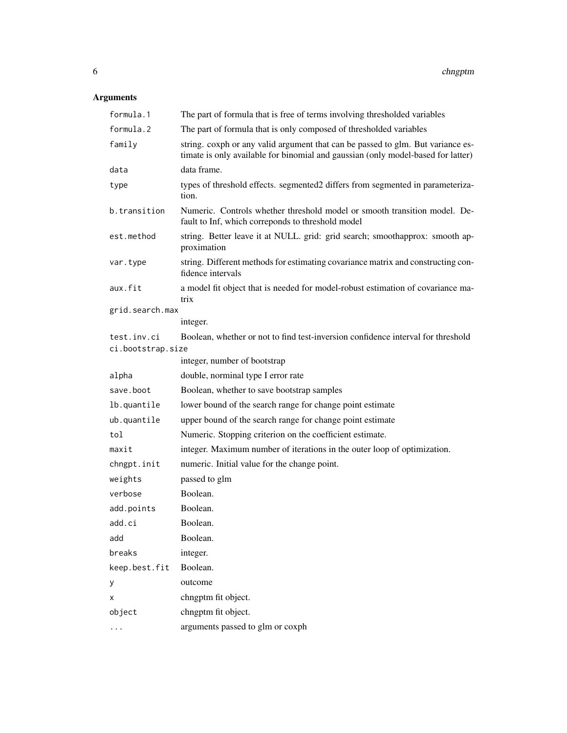# Arguments

| formula.1         | The part of formula that is free of terms involving thresholded variables                                                                                           |
|-------------------|---------------------------------------------------------------------------------------------------------------------------------------------------------------------|
| formula.2         | The part of formula that is only composed of thresholded variables                                                                                                  |
| family            | string. coxph or any valid argument that can be passed to glm. But variance es-<br>timate is only available for binomial and gaussian (only model-based for latter) |
| data              | data frame.                                                                                                                                                         |
| type              | types of threshold effects. segmented2 differs from segmented in parameteriza-<br>tion.                                                                             |
| b.transition      | Numeric. Controls whether threshold model or smooth transition model. De-<br>fault to Inf, which correponds to threshold model                                      |
| est.method        | string. Better leave it at NULL. grid: grid search; smoothapprox: smooth ap-<br>proximation                                                                         |
| var.type          | string. Different methods for estimating covariance matrix and constructing con-<br>fidence intervals                                                               |
| aux.fit           | a model fit object that is needed for model-robust estimation of covariance ma-<br>trix                                                                             |
| grid.search.max   |                                                                                                                                                                     |
|                   | integer.                                                                                                                                                            |
| test.inv.ci       | Boolean, whether or not to find test-inversion confidence interval for threshold                                                                                    |
| ci.bootstrap.size | integer, number of bootstrap                                                                                                                                        |
| alpha             | double, norminal type I error rate                                                                                                                                  |
| save.boot         | Boolean, whether to save bootstrap samples                                                                                                                          |
| lb.quantile       | lower bound of the search range for change point estimate                                                                                                           |
| ub.quantile       | upper bound of the search range for change point estimate                                                                                                           |
| tol               | Numeric. Stopping criterion on the coefficient estimate.                                                                                                            |
| maxit             | integer. Maximum number of iterations in the outer loop of optimization.                                                                                            |
|                   |                                                                                                                                                                     |
| chngpt.init       | numeric. Initial value for the change point.                                                                                                                        |
| weights           | passed to glm                                                                                                                                                       |
| verbose           | Boolean.                                                                                                                                                            |
| add.points        | Boolean.                                                                                                                                                            |
| add.ci            | Boolean.                                                                                                                                                            |
| add               | Boolean.                                                                                                                                                            |
| breaks            | integer.                                                                                                                                                            |
| keep.best.fit     | Boolean.                                                                                                                                                            |
| y                 | outcome                                                                                                                                                             |
| х                 | chngptm fit object.                                                                                                                                                 |
| object            | chngptm fit object.                                                                                                                                                 |
|                   | arguments passed to glm or coxph                                                                                                                                    |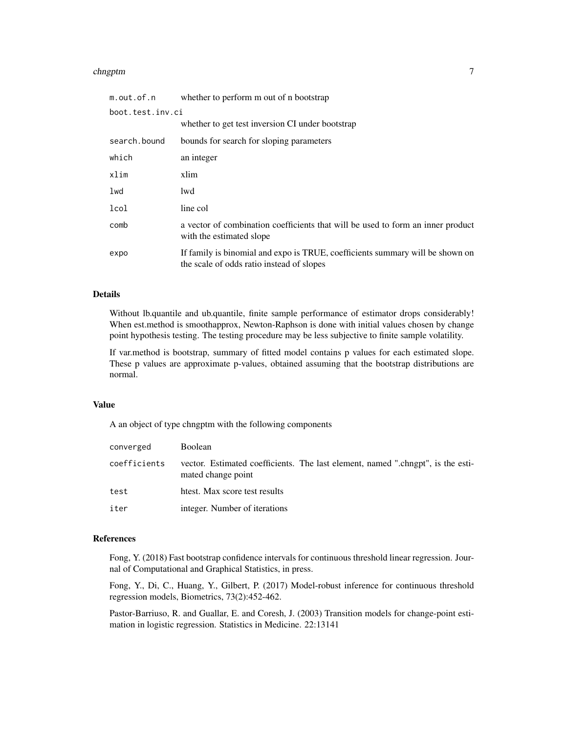#### chngptm  $\sim$  7

| m.out.of.n       | whether to perform m out of n bootstrap                                                                                    |  |  |  |  |  |  |
|------------------|----------------------------------------------------------------------------------------------------------------------------|--|--|--|--|--|--|
| boot.test.inv.ci |                                                                                                                            |  |  |  |  |  |  |
|                  | whether to get test inversion CI under bootstrap                                                                           |  |  |  |  |  |  |
| search.bound     | bounds for search for sloping parameters                                                                                   |  |  |  |  |  |  |
| which            | an integer                                                                                                                 |  |  |  |  |  |  |
| xlim             | xlim                                                                                                                       |  |  |  |  |  |  |
| lwd              | lwd                                                                                                                        |  |  |  |  |  |  |
| lcol             | line col                                                                                                                   |  |  |  |  |  |  |
| comb             | a vector of combination coefficients that will be used to form an inner product<br>with the estimated slope                |  |  |  |  |  |  |
| expo             | If family is binomial and expo is TRUE, coefficients summary will be shown on<br>the scale of odds ratio instead of slopes |  |  |  |  |  |  |

#### Details

Without lb.quantile and ub.quantile, finite sample performance of estimator drops considerably! When est.method is smoothapprox, Newton-Raphson is done with initial values chosen by change point hypothesis testing. The testing procedure may be less subjective to finite sample volatility.

If var.method is bootstrap, summary of fitted model contains p values for each estimated slope. These p values are approximate p-values, obtained assuming that the bootstrap distributions are normal.

#### Value

A an object of type chngptm with the following components

| converged    | <b>Boolean</b>                                                                                        |
|--------------|-------------------------------------------------------------------------------------------------------|
| coefficients | vector. Estimated coefficients. The last element, named ".chngpt", is the esti-<br>mated change point |
| test         | htest. Max score test results                                                                         |
| iter         | integer. Number of iterations                                                                         |

#### References

Fong, Y. (2018) Fast bootstrap confidence intervals for continuous threshold linear regression. Journal of Computational and Graphical Statistics, in press.

Fong, Y., Di, C., Huang, Y., Gilbert, P. (2017) Model-robust inference for continuous threshold regression models, Biometrics, 73(2):452-462.

Pastor-Barriuso, R. and Guallar, E. and Coresh, J. (2003) Transition models for change-point estimation in logistic regression. Statistics in Medicine. 22:13141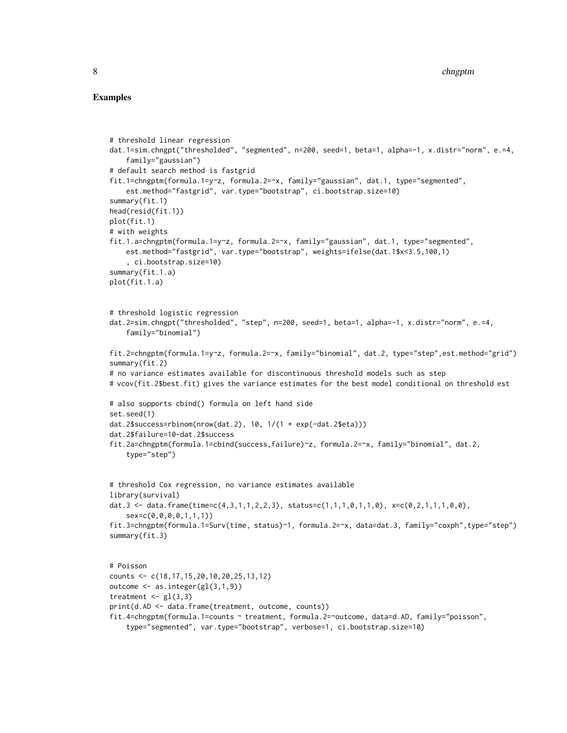#### Examples

```
# threshold linear regression
dat.1=sim.chngpt("thresholded", "segmented", n=200, seed=1, beta=1, alpha=-1, x.distr="norm", e.=4,
    family="gaussian")
# default search method is fastgrid
fit.1=chngptm(formula.1=y~z, formula.2=~x, family="gaussian", dat.1, type="segmented",
    est.method="fastgrid", var.type="bootstrap", ci.bootstrap.size=10)
summary(fit.1)
head(resid(fit.1))
plot(fit.1)
# with weights
fit.1.a=chngptm(formula.1=y~z, formula.2=~x, family="gaussian", dat.1, type="segmented",
    est.method="fastgrid", var.type="bootstrap", weights=ifelse(dat.1$x<3.5,100,1)
    , ci.bootstrap.size=10)
summary(fit.1.a)
plot(fit.1.a)
# threshold logistic regression
dat.2=sim.chngpt("thresholded", "step", n=200, seed=1, beta=1, alpha=-1, x.distr="norm", e.=4,
    family="binomial")
fit.2=chngptm(formula.1=y~z, formula.2=~x, family="binomial", dat.2, type="step",est.method="grid")
summary(fit.2)
# no variance estimates available for discontinuous threshold models such as step
# vcov(fit.2$best.fit) gives the variance estimates for the best model conditional on threshold est
# also supports cbind() formula on left hand side
set.seed(1)
dat.2$success=rbinom(nrow(dat.2), 10, 1/(1 + exp(-dat.2$eta)))
dat.2$failure=10-dat.2$success
fit.2a=chngptm(formula.1=cbind(success,failure)~z, formula.2=~x, family="binomial", dat.2,
    type="step")
# threshold Cox regression, no variance estimates available
library(survival)
dat.3 <- data.frame(time=c(4,3,1,1,2,2,3), status=c(1,1,1,0,1,1,0), x=c(0,2,1,1,1,0,0),
    sex=c(0,0,0,0,1,1,1))
fit.3=chngptm(formula.1=Surv(time, status)~1, formula.2=~x, data=dat.3, family="coxph",type="step")
summary(fit.3)
# Poisson
counts <- c(18,17,15,20,10,20,25,13,12)
outcome <- as.integer(gl(3,1,9))
treatment \leq gl(3,3)
print(d.AD <- data.frame(treatment, outcome, counts))
fit.4=chngptm(formula.1=counts ~ treatment, formula.2=~outcome, data=d.AD, family="poisson",
    type="segmented", var.type="bootstrap", verbose=1, ci.bootstrap.size=10)
```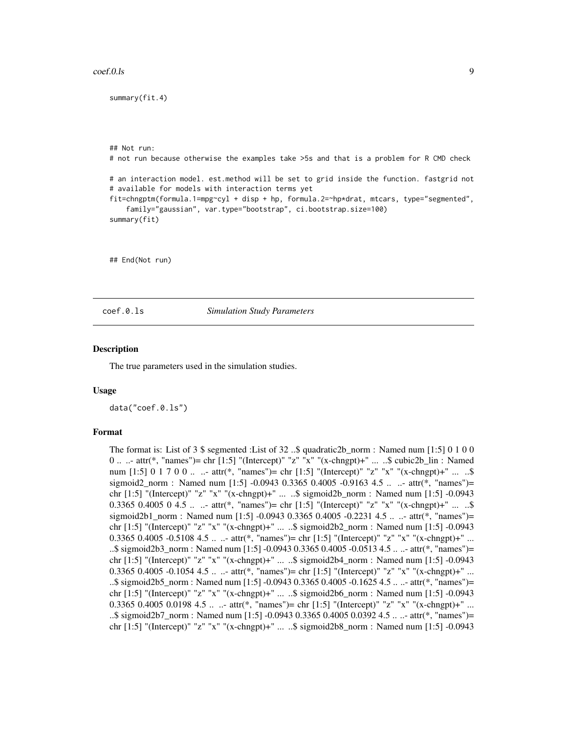#### <span id="page-8-0"></span> $\text{coeff.}0.1\text{s}$  9

summary(fit.4)

## Not run: # not run because otherwise the examples take >5s and that is a problem for R CMD check # an interaction model. est.method will be set to grid inside the function. fastgrid not # available for models with interaction terms yet fit=chngptm(formula.1=mpg~cyl + disp + hp, formula.2=~hp\*drat, mtcars, type="segmented", family="gaussian", var.type="bootstrap", ci.bootstrap.size=100) summary(fit) ## End(Not run)

coef.0.ls *Simulation Study Parameters*

#### **Description**

The true parameters used in the simulation studies.

#### Usage

data("coef.0.ls")

#### Format

The format is: List of  $3 \text{ } \$$  segmented :List of  $32 \dots$  quadratic 2b\_norm : Named num [1:5] 0 1 0 0 0 .. ..- attr(\*, "names")= chr [1:5] "(Intercept)" "z" "x" "(x-chngpt)+" ... ..\$ cubic2b\_lin : Named num [1:5] 0 1 7 0 0 ... - attr(\*, "names")= chr [1:5] "(Intercept)" "z" "x" "(x-chngpt)+" ... ..\$ sigmoid2\_norm : Named num [1:5] -0.0943 0.3365 0.4005 -0.9163 4.5 ... ..- attr(\*, "names")= chr [1:5] "(Intercept)" "z" "x" "(x-chngpt)+" ... ..\$ sigmoid2b\_norm : Named num [1:5] -0.0943 0.3365 0.4005 0 4.5 ...  $\pm$  attr(\*, "names")= chr [1:5] "(Intercept)" "z" "x" "(x-chngpt)+"  $\ldots$  ...\$ sigmoid2b1\_norm : Named num [1:5] -0.0943 0.3365 0.4005 -0.2231 4.5 .. ..- attr(\*, "names")= chr [1:5] "(Intercept)" "z" "x" "(x-chngpt)+" ... ..\$ sigmoid2b2\_norm : Named num [1:5] -0.0943 0.3365 0.4005 -0.5108 4.5 ...  $\cdot$  attr(\*, "names")= chr [1:5] "(Intercept)" "z" "x" "(x-chngpt)+" ... ..\$ sigmoid2b3\_norm : Named num [1:5] -0.0943 0.3365 0.4005 -0.0513 4.5 .. ..- attr(\*, "names")= chr [1:5] "(Intercept)" "z" "x" "(x-chngpt)+" ... ..\$ sigmoid2b4\_norm : Named num [1:5] -0.0943 0.3365 0.4005 -0.1054 4.5 ... - attr(\*, "names")= chr [1:5] "(Intercept)" "z" "x" "(x-chngpt)+" ... ..\$ sigmoid2b5\_norm : Named num [1:5] -0.0943 0.3365 0.4005 -0.1625 4.5 .. ..- attr(\*, "names")= chr [1:5] "(Intercept)" "z" "x" "(x-chngpt)+" ... ..\$ sigmoid2b6\_norm : Named num [1:5] -0.0943 0.3365 0.4005 0.0198 4.5 ... - attr(\*, "names")= chr [1:5] "(Intercept)" "z" "x" "(x-chngpt)+" ... ..\$ sigmoid2b7\_norm : Named num [1:5] -0.0943 0.3365 0.4005 0.0392 4.5 .. ..- attr(\*, "names")= chr [1:5] "(Intercept)" "z" "x" "(x-chngpt)+" ... ..\$ sigmoid2b8\_norm : Named num [1:5] -0.0943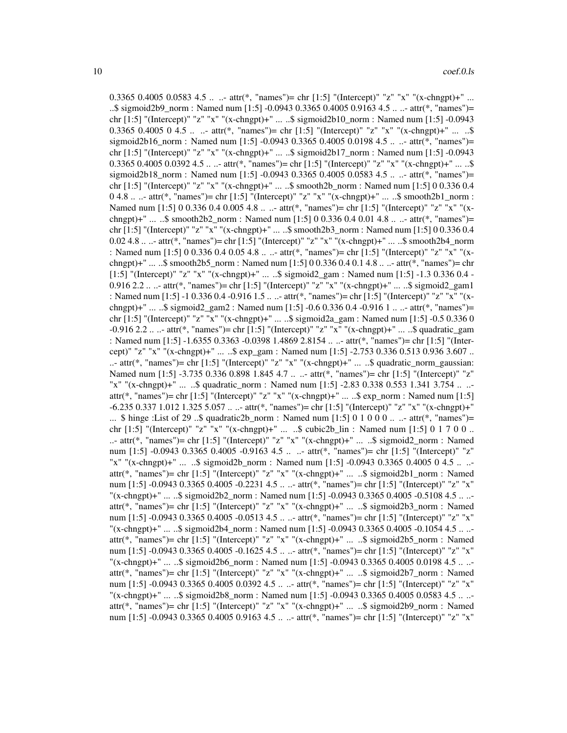0.3365 0.4005 0.0583 4.5 ... - attr(\*, "names")= chr [1:5] "(Intercept)" "z" "x" "(x-chngpt)+" ... ..\$ sigmoid2b9\_norm : Named num [1:5] -0.0943 0.3365 0.4005 0.9163 4.5 .. ..- attr(\*, "names")= chr  $[1:5]$  "(Intercept)" "z" "x" "(x-chngpt)+" ... ..\$ sigmoid2b10\_norm : Named num  $[1:5]$  -0.0943 0.3365 0.4005 0 4.5 ...  $\pm$  attr(\*, "names")= chr [1:5] "(Intercept)" "z" "x" "(x-chngpt)+" ...  $\therefore$ sigmoid2b16\_norm : Named num [1:5] -0.0943 0.3365 0.4005 0.0198 4.5 .. ..- attr(\*, "names")= chr [1:5] "(Intercept)" "z" "x" "(x-chngpt)+" ... ..\$ sigmoid2b17\_norm : Named num [1:5] -0.0943 0.3365 0.4005 0.0392 4.5 ... ... attr(\*, "names")= chr [1:5] "(Intercept)" "z" "x" "(x-chngpt)+" ... ..\$ sigmoid2b18 norm : Named num [1:5] -0.0943 0.3365 0.4005 0.0583 4.5 .. ..- attr(\*, "names")= chr [1:5] "(Intercept)" "z" "x" "(x-chngpt)+" ... ..\$ smooth2b\_norm : Named num [1:5] 0 0.336 0.4  $0.4.8$  ... ..- attr(\*, "names")= chr [1:5] "(Intercept)" "z" "x" "(x-chngpt)+" ... ..\$ smooth2b1\_norm : Named num [1:5] 0 0.336 0.4 0.005 4.8 .. ..- attr(\*, "names")= chr [1:5] "(Intercept)" "z" "x" "(xchngpt)+" ... ..\$ smooth2b2\_norm : Named num [1:5] 0 0.336 0.4 0.01 4.8 .. ..- attr(\*, "names")= chr [1:5] "(Intercept)" "z" "x" "(x-chngpt)+" ... ..\$ smooth2b3\_norm : Named num [1:5] 0 0.336 0.4 0.02 4.8 .. ..- attr(\*, "names")= chr [1:5] "(Intercept)" "z" "x" "(x-chngpt)+" ... ..\$ smooth2b4\_norm : Named num [1:5] 0 0.336 0.4 0.05 4.8 .. ..- attr(\*, "names")= chr [1:5] "(Intercept)" "z" "x" "(xchngpt)+" ... ..\$ smooth2b5\_norm : Named num [1:5] 0 0.336 0.4 0.1 4.8 .. ..- attr(\*, "names")= chr [1:5] "(Intercept)" "z" "x" "(x-chngpt)+" ... ..\$ sigmoid2\_gam : Named num [1:5] -1.3 0.336 0.4 - 0.916 2.2 .. ..- attr(\*, "names")= chr [1:5] "(Intercept)" "z" "x" "(x-chngpt)+" ... ..\$ sigmoid2\_gam1 : Named num [1:5] -1 0.336 0.4 -0.916 1.5 .. ..- attr(\*, "names")= chr [1:5] "(Intercept)" "z" "x" "(xchngpt)+" ... ..\$ sigmoid2\_gam2 : Named num [1:5] -0.6 0.336 0.4 -0.916 1 ... ..- attr(\*, "names")= chr [1:5] "(Intercept)" "z" "x" "(x-chngpt)+" ... ..\$ sigmoid2a\_gam : Named num [1:5] -0.5 0.336 0 -0.916 2.2 .. ..- attr(\*, "names")= chr [1:5] "(Intercept)" "z" "x" "(x-chngpt)+" ... ..\$ quadratic\_gam : Named num [1:5] -1.6355 0.3363 -0.0398 1.4869 2.8154 .. ..- attr(\*, "names")= chr [1:5] "(Intercept)" "z" "x" "(x-chngpt)+" ... ..\$ exp\_gam : Named num [1:5] -2.753 0.336 0.513 0.936 3.607 .. ..- attr(\*, "names")= chr [1:5] "(Intercept)" "z" "x" "(x-chngpt)+" ... ..\$ quadratic\_norm\_gaussian: Named num [1:5] -3.735 0.336 0.898 1.845 4.7 .. ..- attr(\*, "names")= chr [1:5] "(Intercept)" "z" "x" "(x-chngpt)+" ... ..\$ quadratic\_norm : Named num [1:5] -2.83 0.338 0.553 1.341 3.754 .. .. attr(\*, "names")= chr [1:5] "(Intercept)" "z" "x" "(x-chngpt)+" ... ..\$ exp\_norm : Named num [1:5] -6.235 0.337 1.012 1.325 5.057 .. ..- attr(\*, "names")= chr [1:5] "(Intercept)" "z" "x" "(x-chngpt)+" ... \$ hinge :List of 29 ..\$ quadratic2b\_norm : Named num [1:5] 0 1 0 0 0 ... attr(\*, "names")= chr [1:5] "(Intercept)" "z" "x" "(x-chngpt)+" ... ..\$ cubic2b\_lin : Named num [1:5] 0 1 7 0 0 .. ..- attr(\*, "names")= chr [1:5] "(Intercept)" "z" "x" "(x-chngpt)+" ... ..\$ sigmoid2\_norm : Named num [1:5] -0.0943 0.3365 0.4005 -0.9163 4.5 .. ..- attr(\*, "names")= chr [1:5] "(Intercept)" "z" "x" "(x-chngpt)+" ... ..\$ sigmoid2b\_norm : Named num [1:5] -0.0943 0.3365 0.4005 0 4.5 .. .. attr(\*, "names")= chr [1:5] "(Intercept)" "z" "x" "(x-chngpt)+" ... ..\$ sigmoid2b1\_norm : Named num [1:5] -0.0943 0.3365 0.4005 -0.2231 4.5 .. ..- attr(\*, "names")= chr [1:5] "(Intercept)" "z" "x"  $\frac{1}{2}$  (x-chngpt)+" ... ..\$ sigmoid2b2\_norm : Named num [1:5] -0.0943 0.3365 0.4005 -0.5108 4.5 .. .. attr(\*, "names")= chr [1:5] "(Intercept)" "z" "x" "(x-chngpt)+" ... ..\$ sigmoid2b3\_norm : Named num [1:5] -0.0943 0.3365 0.4005 -0.0513 4.5 .. ..- attr(\*, "names")= chr [1:5] "(Intercept)" "z" "x" "(x-chngpt)+" ... ..\$ sigmoid2b4\_norm : Named num [1:5] -0.0943 0.3365 0.4005 -0.1054 4.5 .. .. attr(\*, "names")= chr [1:5] "(Intercept)" "z" "x" "(x-chngpt)+" ... ..\$ sigmoid2b5\_norm : Named num [1:5] -0.0943 0.3365 0.4005 -0.1625 4.5 .. ..- attr(\*, "names")= chr [1:5] "(Intercept)" "z" "x" "(x-chngpt)+" ... ..\$ sigmoid2b6\_norm : Named num [1:5] -0.0943 0.3365 0.4005 0.0198 4.5 .. .. attr(\*, "names")= chr [1:5] "(Intercept)" "z" "x" "(x-chngpt)+" ... ..\$ sigmoid2b7\_norm : Named num [1:5] -0.0943 0.3365 0.4005 0.0392 4.5 .. ..- attr(\*, "names")= chr [1:5] "(Intercept)" "z" "x" "(x-chngpt)+" ... ..\$ sigmoid2b8\_norm : Named num [1:5] -0.0943 0.3365 0.4005 0.0583 4.5 .. .. attr(\*, "names")= chr [1:5] "(Intercept)" "z" "x" "(x-chngpt)+" ... ..\$ sigmoid2b9\_norm : Named num [1:5] -0.0943 0.3365 0.4005 0.9163 4.5 .. ..- attr(\*, "names")= chr [1:5] "(Intercept)" "z" "x"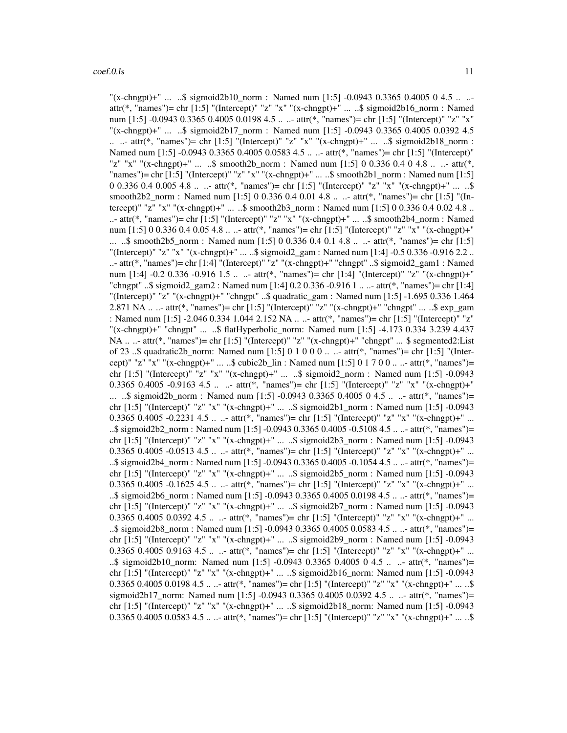"(x-chngpt)+" ... ..\$ sigmoid2b10\_norm : Named num [1:5] -0.0943 0.3365 0.4005 0 4.5 .. .. attr(\*, "names")= chr [1:5] "(Intercept)" "z" "x" "(x-chngpt)+" ... ..\$ sigmoid2b16\_norm : Named num [1:5] -0.0943 0.3365 0.4005 0.0198 4.5 .. ..- attr(\*, "names")= chr [1:5] "(Intercept)" "z" "x" "(x-chngpt)+" ... ..\$ sigmoid2b17\_norm : Named num [1:5] -0.0943 0.3365 0.4005 0.0392 4.5 .. ..- attr(\*, "names")= chr [1:5] "(Intercept)" "z" "x" "(x-chngpt)+" ... ..\$ sigmoid2b18\_norm : Named num [1:5] -0.0943 0.3365 0.4005 0.0583 4.5 ... .- attr(\*, "names")= chr [1:5] "(Intercept)" "z" "x" "(x-chngpt)+" ... ..\$ smooth2b\_norm : Named num [1:5] 0 0.336 0.4 0 4.8 .. ..- attr(\*, "names")= chr [1:5] "(Intercept)" "z" "x" "(x-chngpt)+" ... ..\$ smooth2b1\_norm : Named num [1:5] 0 0.336 0.4 0.005 4.8 .. ..- attr(\*, "names")= chr [1:5] "(Intercept)" "z" "x" "(x-chngpt)+" ... ..\$ smooth2b2\_norm : Named num [1:5] 0 0.336 0.4 0.01 4.8 .. ..- attr(\*, "names")= chr [1:5] "(Intercept)" "z" "x" "(x-chngpt)+" ... ..\$ smooth2b3\_norm : Named num [1:5] 0 0.336 0.4 0.02 4.8 .. ..- attr(\*, "names")= chr [1:5] "(Intercept)" "z" "x" "(x-chngpt)+" ... ..\$ smooth2b4\_norm : Named num [1:5] 0 0.336 0.4 0.05 4.8 .. ..- attr(\*, "names")= chr [1:5] "(Intercept)" "z" "x" "(x-chngpt)+" ... ..\$ smooth2b5\_norm : Named num [1:5] 0 0.336 0.4 0.1 4.8 .. ..- attr(\*, "names")= chr [1:5] "(Intercept)" "z" "x" "(x-chngpt)+" ... ..\$ sigmoid2\_gam : Named num [1:4] -0.5 0.336 -0.916 2.2 .. ..- attr(\*, "names")= chr [1:4] "(Intercept)" "z" "(x-chngpt)+" "chngpt" ..\$ sigmoid2\_gam1 : Named num [1:4] -0.2 0.336 -0.916 1.5 .. ..- attr(\*, "names")= chr [1:4] "(Intercept)" "z" "(x-chngpt)+" "chngpt" ..\$ sigmoid2\_gam2 : Named num [1:4] 0.2 0.336 -0.916 1 .. ..- attr(\*, "names")= chr [1:4] "(Intercept)" "z" "(x-chngpt)+" "chngpt" ..\$ quadratic\_gam : Named num [1:5] -1.695 0.336 1.464 2.871 NA .. ..- attr(\*, "names")= chr [1:5] "(Intercept)" "z" "(x-chngpt)+" "chngpt" ... ..\$ exp\_gam : Named num [1:5] -2.046 0.334 1.044 2.152 NA .. ..- attr(\*, "names")= chr [1:5] "(Intercept)" "z" "(x-chngpt)+" "chngpt" ... ..\$ flatHyperbolic\_norm: Named num [1:5] -4.173 0.334 3.239 4.437 NA .. ..- attr(\*, "names")= chr [1:5] "(Intercept)" "z" "(x-chngpt)+" "chngpt" ... \$ segmented2:List of 23 ..\$ quadratic2b\_norm: Named num [1:5] 0 1 0 0 0 .. ..- attr(\*, "names")= chr [1:5] "(Intercept)" "z" "x" "(x-chngpt)+" ... ..\$ cubic2b  $\text{ lin : Named num } [1:5] \ 0 \ 1 \ 7 \ 0 \ 0 \ \dots \ - \text{attr(*, "names")}$ = chr [1:5] "(Intercept)" "z" "x" "(x-chngpt)+" ... ..\$ sigmoid2\_norm : Named num [1:5] -0.0943 0.3365 0.4005 -0.9163 4.5 .. ..- attr(\*, "names")= chr [1:5] "(Intercept)" "z" "x" "(x-chngpt)+" ... ..\$ sigmoid2b\_norm : Named num [1:5] -0.0943 0.3365 0.4005 0 4.5 .. ..- attr(\*, "names")= chr [1:5] "(Intercept)" "z" "x" "(x-chngpt)+" ... ..\$ sigmoid2b1\_norm : Named num [1:5] -0.0943 0.3365 0.4005 -0.2231 4.5 ...  $\pm$  attr(\*, "names")= chr [1:5] "(Intercept)" "z" "x" "(x-chngpt)+" ... ..\$ sigmoid2b2\_norm : Named num [1:5] -0.0943 0.3365 0.4005 -0.5108 4.5 .. ..- attr(\*, "names")= chr [1:5] "(Intercept)" "z" "x" "(x-chngpt)+" ... ..\$ sigmoid2b3\_norm : Named num [1:5] -0.0943 0.3365 0.4005 -0.0513 4.5 ... - attr(\*, "names")= chr [1:5] "(Intercept)" "z" "x" "(x-chngpt)+" ... ..\$ sigmoid2b4\_norm : Named num [1:5] -0.0943 0.3365 0.4005 -0.1054 4.5 .. ..- attr(\*, "names")= chr [1:5] "(Intercept)" "z" "x" "(x-chngpt)+" ... ..\$ sigmoid2b5\_norm : Named num [1:5] -0.0943 0.3365 0.4005 -0.1625 4.5 ...  $\therefore$  attr(\*, "names")= chr [1:5] "(Intercept)" "z" "x" "(x-chngpt)+" ... ..\$ sigmoid2b6 norm : Named num [1:5]  $-0.0943\,0.3365\,0.4005\,0.0198\,4.5$  .. ..- attr(\*, "names")= chr [1:5] "(Intercept)" "z" "x" "(x-chngpt)+" ... ..\$ sigmoid2b7\_norm : Named num [1:5] -0.0943 0.3365 0.4005 0.0392 4.5 ...  $\cdot$  attr(\*, "names")= chr [1:5] "(Intercept)" "z" "x" "(x-chngpt)+" ... ..\$ sigmoid2b8\_norm : Named num [1:5] -0.0943 0.3365 0.4005 0.0583 4.5 .. ..- attr(\*, "names")= chr [1:5] "(Intercept)" "z" "x" "(x-chngpt)+" ... ..\$ sigmoid2b9\_norm : Named num [1:5] -0.0943 0.3365 0.4005 0.9163 4.5 .. ..- attr(\*, "names")= chr [1:5] "(Intercept)" "z" "x" "(x-chngpt)+" ... ..\$ sigmoid2b10\_norm: Named num [1:5] -0.0943 0.3365 0.4005 0 4.5 .. ..- attr(\*, "names")= chr [1:5] "(Intercept)" "z" "x" "(x-chngpt)+" ... ..\$ sigmoid2b16\_norm: Named num [1:5] -0.0943 0.3365 0.4005 0.0198 4.5 .. ..- attr(\*, "names")= chr [1:5] "(Intercept)" "z" "x" "(x-chngpt)+" ... ..\$ sigmoid2b17\_norm: Named num [1:5] -0.0943 0.3365 0.4005 0.0392 4.5 .. ..- attr(\*, "names")= chr [1:5] "(Intercept)" "z" "x" "(x-chngpt)+" ... ..\$ sigmoid2b18\_norm: Named num [1:5] -0.0943 0.3365 0.4005 0.0583 4.5 ...  $\cdot$  attr(\*, "names")= chr [1:5] "(Intercept)" "z" "x" "(x-chngpt)+"  $\cdot$ ... ..\$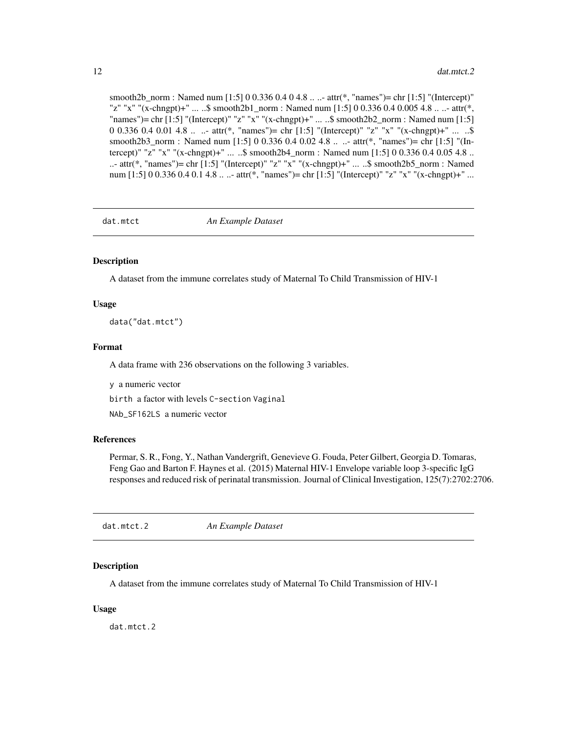#### <span id="page-11-0"></span>12 dat.mtct.2

smooth2b\_norm : Named num [1:5] 0 0.336 0.4 0 4.8 .. ..- attr(\*, "names")= chr [1:5] "(Intercept)" "z" "x" "(x-chngpt)+" ... ..\$ smooth2b1\_norm : Named num [1:5] 0 0.336 0.4 0.005 4.8 .. ..- attr(\*, "names")= chr [1:5] "(Intercept)" "z" "x" "(x-chngpt)+" ... ..\$ smooth2b2\_norm : Named num [1:5] 0 0.336 0.4 0.01 4.8 .. ..- attr(\*, "names")= chr [1:5] "(Intercept)" "z" "x" "(x-chngpt)+" ... ..\$ smooth2b3\_norm : Named num [1:5] 0 0.336 0.4 0.02 4.8 .. ..- attr(\*, "names")= chr [1:5] "(Intercept)" "z" "x" "(x-chngpt)+" ... ..\$ smooth2b4\_norm : Named num [1:5] 0 0.336 0.4 0.05 4.8 .. ..- attr(\*, "names")= chr [1:5] "(Intercept)" "z" "x" "(x-chngpt)+" ... ..\$ smooth2b5\_norm : Named num [1:5] 0 0.336 0.4 0.1 4.8 .. ..- attr(\*, "names")= chr [1:5] "(Intercept)" "z" "x" "(x-chngpt)+" ...

dat.mtct *An Example Dataset*

#### Description

A dataset from the immune correlates study of Maternal To Child Transmission of HIV-1

#### Usage

data("dat.mtct")

#### Format

A data frame with 236 observations on the following 3 variables.

y a numeric vector

birth a factor with levels C-section Vaginal

NAb\_SF162LS a numeric vector

#### References

Permar, S. R., Fong, Y., Nathan Vandergrift, Genevieve G. Fouda, Peter Gilbert, Georgia D. Tomaras, Feng Gao and Barton F. Haynes et al. (2015) Maternal HIV-1 Envelope variable loop 3-specific IgG responses and reduced risk of perinatal transmission. Journal of Clinical Investigation, 125(7):2702:2706.

dat.mtct.2 *An Example Dataset*

#### Description

A dataset from the immune correlates study of Maternal To Child Transmission of HIV-1

#### Usage

dat.mtct.2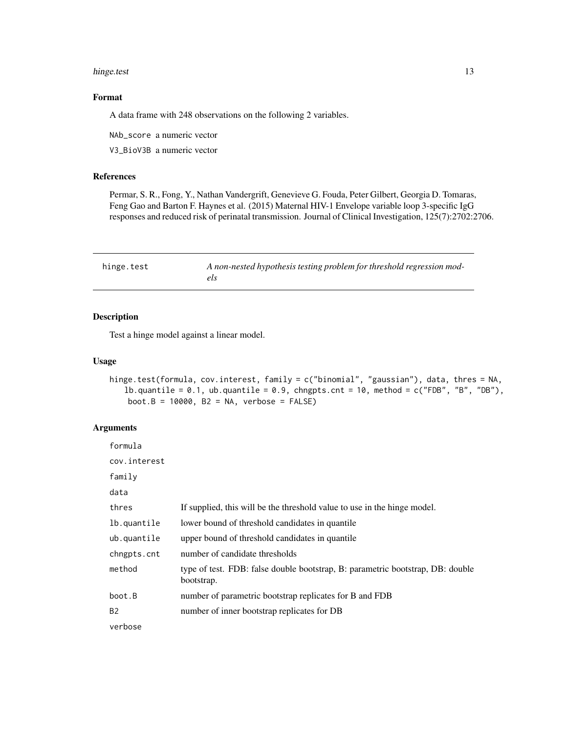#### <span id="page-12-0"></span>hinge.test 13

# Format

A data frame with 248 observations on the following 2 variables.

NAb\_score a numeric vector

V3\_BioV3B a numeric vector

# References

Permar, S. R., Fong, Y., Nathan Vandergrift, Genevieve G. Fouda, Peter Gilbert, Georgia D. Tomaras, Feng Gao and Barton F. Haynes et al. (2015) Maternal HIV-1 Envelope variable loop 3-specific IgG responses and reduced risk of perinatal transmission. Journal of Clinical Investigation, 125(7):2702:2706.

| hinge.test | A non-nested hypothesis testing problem for threshold regression mod- |
|------------|-----------------------------------------------------------------------|
|            |                                                                       |

## Description

Test a hinge model against a linear model.

#### Usage

```
hinge.test(formula, cov.interest, family = c("binomial", "gaussian"), data, thres = NA,
   lb.quantile = 0.1, ub.quantile = 0.9, chngpts.cnt = 10, method = c("FDB", "B", "DB"),boot.B = 10000, B2 = NA, verbose = FALSE)
```
# Arguments

| formula      |                                                                                              |
|--------------|----------------------------------------------------------------------------------------------|
| cov.interest |                                                                                              |
| family       |                                                                                              |
| data         |                                                                                              |
| thres        | If supplied, this will be the threshold value to use in the hinge model.                     |
| lb.quantile  | lower bound of threshold candidates in quantile.                                             |
| ub.quantile  | upper bound of threshold candidates in quantile                                              |
| chngpts.cnt  | number of candidate thresholds                                                               |
| method       | type of test. FDB: false double bootstrap, B: parametric bootstrap, DB: double<br>bootstrap. |
| boot.B       | number of parametric bootstrap replicates for B and FDB                                      |
| <b>B2</b>    | number of inner bootstrap replicates for DB                                                  |
| verbose      |                                                                                              |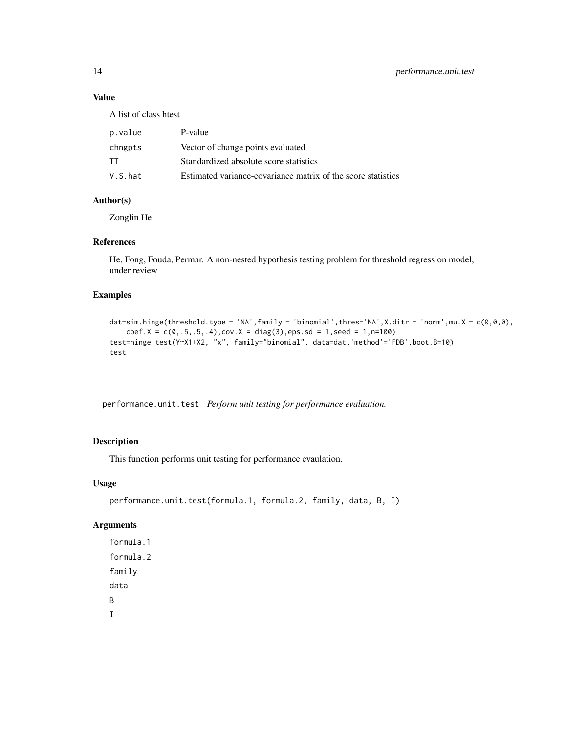# Value

A list of class htest

| p.value | P-value                                                      |
|---------|--------------------------------------------------------------|
| chngpts | Vector of change points evaluated                            |
| TT      | Standardized absolute score statistics                       |
| V.S.hat | Estimated variance-covariance matrix of the score statistics |
|         |                                                              |

#### Author(s)

Zonglin He

# References

He, Fong, Fouda, Permar. A non-nested hypothesis testing problem for threshold regression model, under review

# Examples

```
dat=sim.hinge(threshold.type = 'NA',family = 'binomial',thres='NA',X.ditr = 'norm',mu.X = c(\theta, \theta, \theta),
    coef.X = c(0,.5,.5,.4), cov.X = diag(3), eps.sd = 1, seed = 1, n=100)
test=hinge.test(Y~X1+X2, "x", family="binomial", data=dat,'method'='FDB',boot.B=10)
test
```
performance.unit.test *Perform unit testing for performance evaluation.*

# Description

This function performs unit testing for performance evaulation.

#### Usage

```
performance.unit.test(formula.1, formula.2, family, data, B, I)
```
#### Arguments

formula.1 formula.2 family data B I

<span id="page-13-0"></span>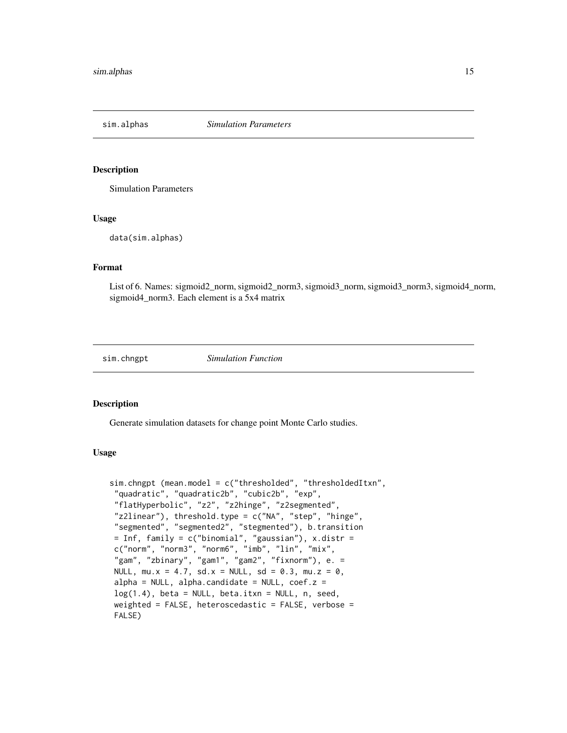<span id="page-14-0"></span>sim.alphas *Simulation Parameters*

#### Description

Simulation Parameters

# Usage

data(sim.alphas)

#### Format

List of 6. Names: sigmoid2\_norm, sigmoid2\_norm3, sigmoid3\_norm, sigmoid3\_norm3, sigmoid4\_norm, sigmoid4 norm3. Each element is a 5x4 matrix

sim.chngpt *Simulation Function*

#### Description

Generate simulation datasets for change point Monte Carlo studies.

# Usage

```
sim.chngpt (mean.model = c("thresholded", "thresholdedItxn",
 "quadratic", "quadratic2b", "cubic2b", "exp",
"flatHyperbolic", "z2", "z2hinge", "z2segmented",
"z2linear"), threshold.type = c("NA", "step", "hinge",
"segmented", "segmented2", "stegmented"), b.transition
= Inf, family = c("binomial", "gaussian"), x.distr =c("norm", "norm3", "norm6", "imb", "lin", "mix",
 "gam", "zbinary", "gam1", "gam2", "fixnorm"), e. =
NULL, mu.x = 4.7, sd.x = NULL, sd = 0.3, mu.z = 0,
alpha = NULL, alpha.candidate = NULL, \text{coef}.z =
log(1.4), beta = NULL, beta.itxn = NULL, n, seed,
weighted = FALSE, heteroscedastic = FALSE, verbose =FALSE)
```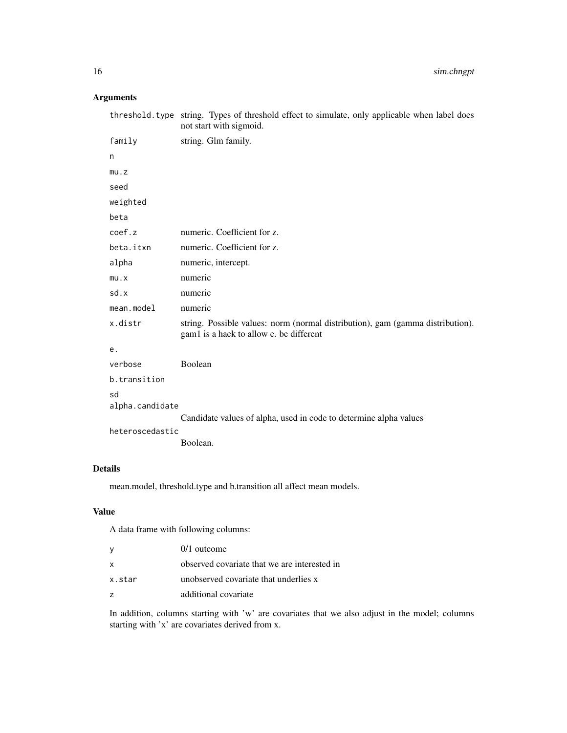# Arguments

|                       | threshold. type string. Types of threshold effect to simulate, only applicable when label does<br>not start with sigmoid. |
|-----------------------|---------------------------------------------------------------------------------------------------------------------------|
| family                | string. Glm family.                                                                                                       |
| n                     |                                                                                                                           |
| mu.z                  |                                                                                                                           |
| seed                  |                                                                                                                           |
| weighted              |                                                                                                                           |
| beta                  |                                                                                                                           |
| coef.z                | numeric. Coefficient for z.                                                                                               |
| beta.itxn             | numeric. Coefficient for z.                                                                                               |
| alpha                 | numeric, intercept.                                                                                                       |
| mu.x                  | numeric                                                                                                                   |
| sd.x                  | numeric                                                                                                                   |
| $mean$ . $model$      | numeric                                                                                                                   |
| x.distr               | string. Possible values: norm (normal distribution), gam (gamma distribution).<br>gam1 is a hack to allow e. be different |
| е.                    |                                                                                                                           |
| verbose               | Boolean                                                                                                                   |
| b.transition          |                                                                                                                           |
| sd<br>alpha.candidate |                                                                                                                           |
|                       | Candidate values of alpha, used in code to determine alpha values                                                         |
| heteroscedastic       |                                                                                                                           |
|                       | Boolean.                                                                                                                  |

# Details

mean.model, threshold.type and b.transition all affect mean models.

# Value

A data frame with following columns:

| ٧      | $0/1$ outcome                                |
|--------|----------------------------------------------|
| x      | observed covariate that we are interested in |
| x.star | unobserved covariate that underlies x        |
| z      | additional covariate                         |

In addition, columns starting with 'w' are covariates that we also adjust in the model; columns starting with 'x' are covariates derived from x.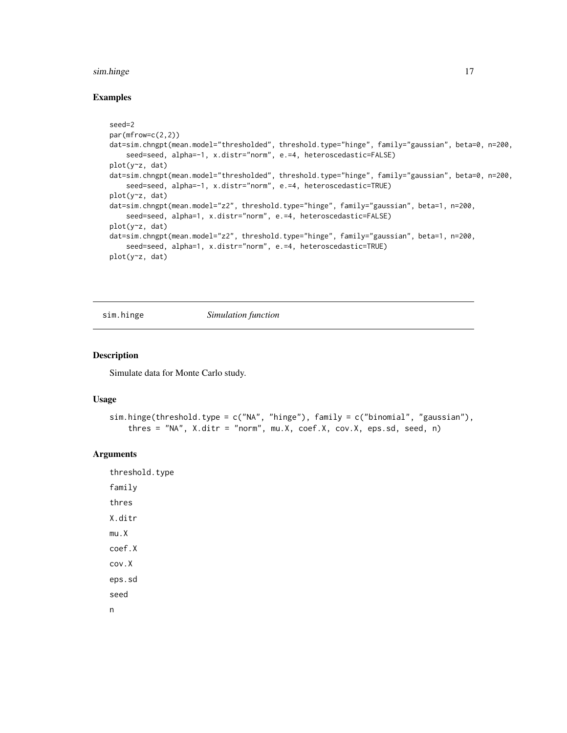#### <span id="page-16-0"></span>sim.hinge 17

#### Examples

```
seed=2
par(mfrow=c(2,2))
dat=sim.chngpt(mean.model="thresholded", threshold.type="hinge", family="gaussian", beta=0, n=200,
    seed=seed, alpha=-1, x.distr="norm", e.=4, heteroscedastic=FALSE)
plot(y~z, dat)
dat=sim.chngpt(mean.model="thresholded", threshold.type="hinge", family="gaussian", beta=0, n=200,
    seed=seed, alpha=-1, x.distr="norm", e.=4, heteroscedastic=TRUE)
plot(y~z, dat)
dat=sim.chngpt(mean.model="z2", threshold.type="hinge", family="gaussian", beta=1, n=200,
    seed=seed, alpha=1, x.distr="norm", e.=4, heteroscedastic=FALSE)
plot(y~z, dat)
dat=sim.chngpt(mean.model="z2", threshold.type="hinge", family="gaussian", beta=1, n=200,
    seed=seed, alpha=1, x.distr="norm", e.=4, heteroscedastic=TRUE)
plot(y~z, dat)
```
sim.hinge *Simulation function*

#### Description

Simulate data for Monte Carlo study.

# Usage

```
sim.hinge(threshold.type = c("NA", "hinge"), family = c("binomial", "gaussian"),
   thres = "NA", X.ditr = "norm", mu.X, coef.X, cov.X, eps.sd, seed, n)
```
#### Arguments

threshold.type family thres X.ditr mu.X coef.X cov.X eps.sd seed n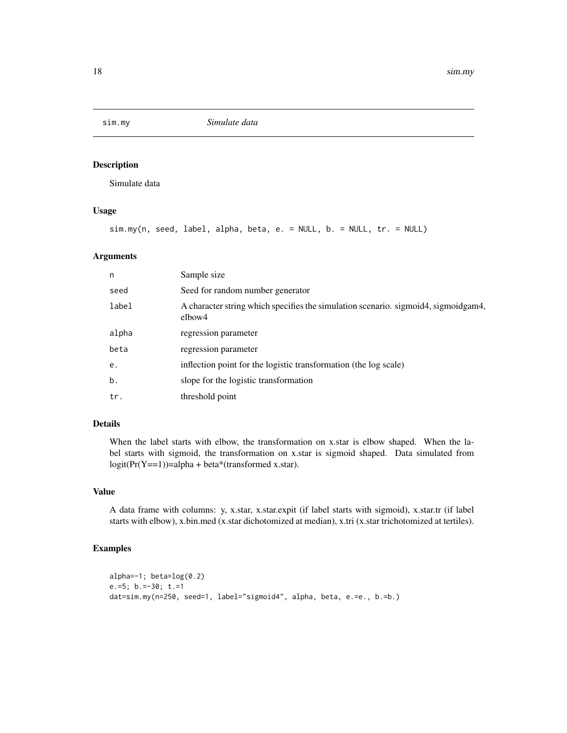<span id="page-17-0"></span>

# Description

Simulate data

# Usage

```
sim.my(n, seed, label, alpha, beta, e. = NULL, b. = NULL, tr. = NULL)
```
#### Arguments

| n     | Sample size                                                                                  |
|-------|----------------------------------------------------------------------------------------------|
| seed  | Seed for random number generator                                                             |
| label | A character string which specifies the simulation scenario. sigmoid4, sigmoidgam4,<br>elbow4 |
| alpha | regression parameter                                                                         |
| beta  | regression parameter                                                                         |
| e.    | inflection point for the logistic transformation (the log scale)                             |
| b.    | slope for the logistic transformation                                                        |
| tr.   | threshold point                                                                              |

# Details

When the label starts with elbow, the transformation on x.star is elbow shaped. When the label starts with sigmoid, the transformation on x.star is sigmoid shaped. Data simulated from  $logit(Pr(Y=1))=alpha + beta*(transformed x.start).$ 

# Value

A data frame with columns: y, x.star, x.star.expit (if label starts with sigmoid), x.star.tr (if label starts with elbow), x.bin.med (x.star dichotomized at median), x.tri (x.star trichotomized at tertiles).

# Examples

```
alpha=-1; beta=log(0.2)
e.=5; b.=-30; t.=1
dat=sim.my(n=250, seed=1, label="sigmoid4", alpha, beta, e.=e., b.=b.)
```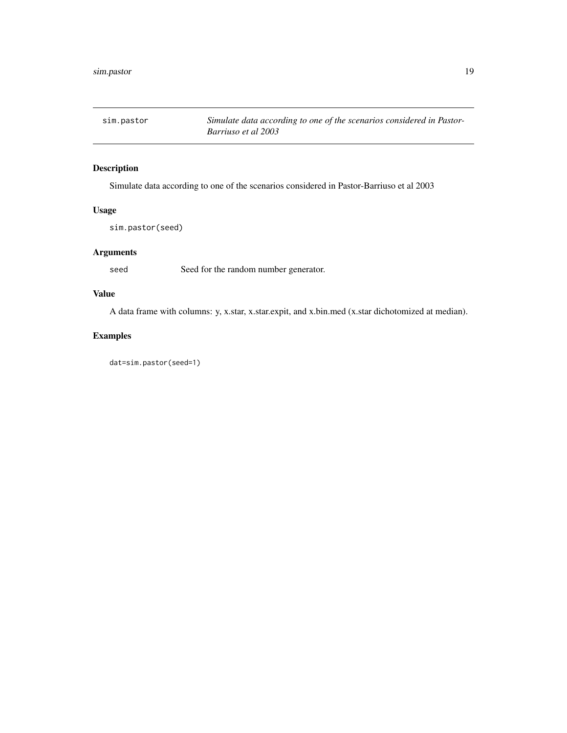<span id="page-18-0"></span>

# Description

Simulate data according to one of the scenarios considered in Pastor-Barriuso et al 2003

# Usage

sim.pastor(seed)

# Arguments

seed Seed for the random number generator.

# Value

A data frame with columns: y, x.star, x.star.expit, and x.bin.med (x.star dichotomized at median).

# Examples

dat=sim.pastor(seed=1)